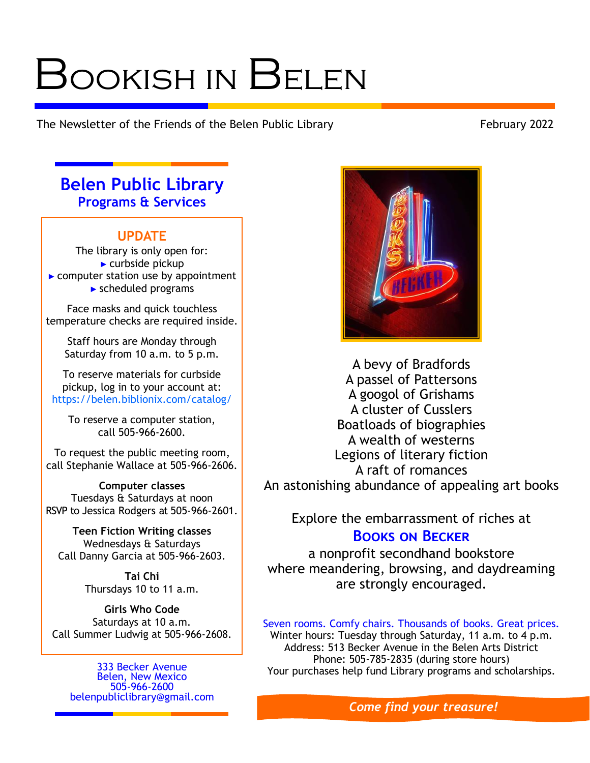# Bookish in Belen

The Newsletter of the Friends of the Belen Public Library The Newsletter of the Friends of the Belen Public Library

# **Belen Public Library Programs & Services**

# **UPDATE**

The library is only open for:  $\blacktriangleright$  curbside pickup ► computer station use by appointment ► scheduled programs

Face masks and quick touchless temperature checks are required inside.

Staff hours are Monday through Saturday from 10 a.m. to 5 p.m.

To reserve materials for curbside pickup, log in to your account at: https://belen.biblionix.com/catalog/

To reserve a computer station, call 505-966-2600.

To request the public meeting room, call Stephanie Wallace at 505-966-2606.

**Computer classes** Tuesdays & Saturdays at noon RSVP to Jessica Rodgers at 505-966-2601.

**Teen Fiction Writing classes** Wednesdays & Saturdays Call Danny Garcia at 505-966-2603.

> **Tai Chi** Thursdays 10 to 11 a.m.

**Girls Who Code** Saturdays at 10 a.m. Call Summer Ludwig at 505-966-2608.

333 Becker Avenue Belen, New Mexico 505-966-2600 [belenpubliclibrary@gmail.com](mailto:belenpubliclibrary@gmail.com)



A bevy of Bradfords A passel of Pattersons A googol of Grishams A cluster of Cusslers Boatloads of biographies A wealth of westerns Legions of literary fiction A raft of romances An astonishing abundance of appealing art books

Explore the embarrassment of riches at

# **Books on Becker**

a nonprofit secondhand bookstore where meandering, browsing, and daydreaming are strongly encouraged.

Seven rooms. Comfy chairs. Thousands of books. Great prices. Winter hours: Tuesday through Saturday, 11 a.m. to 4 p.m. Address: 513 Becker Avenue in the Belen Arts District Phone: 505-785-2835 (during store hours) Your purchases help fund Library programs and scholarships.

*Come find your treasure!*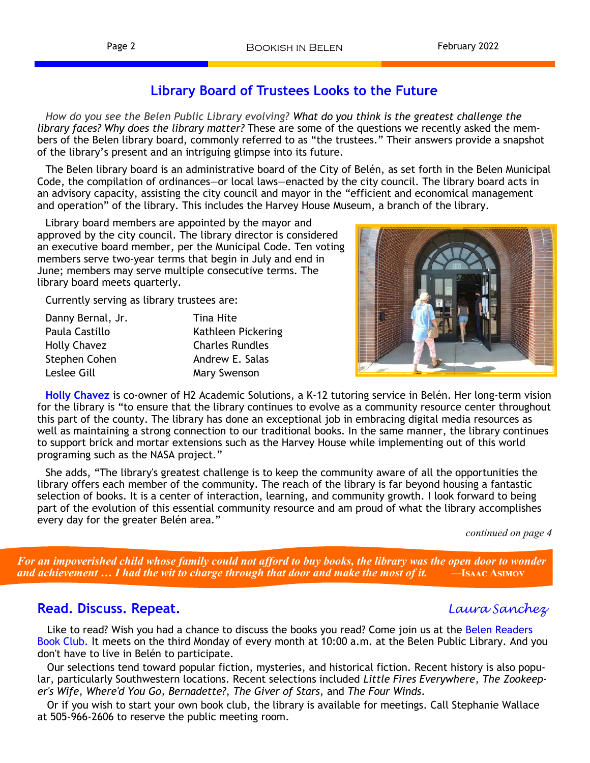# **Library Board of Trustees Looks to the Future**

*How do you see the Belen Public Library evolving? What do you think is the greatest challenge the library faces? Why does the library matter?* These are some of the questions we recently asked the members of the Belen library board, commonly referred to as "the trustees." Their answers provide a snapshot of the library's present and an intriguing glimpse into its future.

The Belen library board is an administrative board of the City of Belén, as set forth in the Belen Municipal Code, the compilation of ordinances—or local laws—enacted by the city council. The library board acts in an advisory capacity, assisting the city council and mayor in the "efficient and economical management and operation" of the library. This includes the Harvey House Museum, a branch of the library.

Library board members are appointed by the mayor and approved by the city council. The library director is considered an executive board member, per the Municipal Code. Ten voting members serve two-year terms that begin in July and end in June; members may serve multiple consecutive terms. The library board meets quarterly.

Currently serving as library trustees are:

| Danny Bernal, Jr. | Tina Hite              |
|-------------------|------------------------|
| Paula Castillo    | Kathleen Pickering     |
| Holly Chavez      | <b>Charles Rundles</b> |
| Stephen Cohen     | Andrew E. Salas        |
| Leslee Gill       | Mary Swenson           |



**Holly Chavez** is co-owner of H2 Academic Solutions, a K-12 tutoring service in Belén. Her long-term vision for the library is "to ensure that the library continues to evolve as a community resource center throughout this part of the county. The library has done an exceptional job in embracing digital media resources as well as maintaining a strong connection to our traditional books. In the same manner, the library continues to support brick and mortar extensions such as the Harvey House while implementing out of this world programing such as the NASA project."

She adds, "The library's greatest challenge is to keep the community aware of all the opportunities the library offers each member of the community. The reach of the library is far beyond housing a fantastic selection of books. It is a center of interaction, learning, and community growth. I look forward to being part of the evolution of this essential community resource and am proud of what the library accomplishes every day for the greater Belén area."

*continued on page 4*

 *For an impoverished child whose family could not afford to buy books, the library was the open door to wonder and achievement … I had the wit to charge through that door and make the most of it.* **—Isaac Asimov**

## **Read. Discuss. Repeat.** *Laura Sanchez*

Like to read? Wish you had a chance to discuss the books you read? Come join us at the Belen Readers Book Club. It meets on the third Monday of every month at 10:00 a.m. at the Belen Public Library. And you don't have to live in Belén to participate.

 Our selections tend toward popular fiction, mysteries, and historical fiction. Recent history is also popular, particularly Southwestern locations. Recent selections included *Little Fires Everywhere*, *The Zookeeper's Wife*, *Where'd You Go, Bernadette?*, *The Giver of Stars*, and *The Four Winds*.

 Or if you wish to start your own book club, the library is available for meetings. Call Stephanie Wallace at 505-966-2606 to reserve the public meeting room.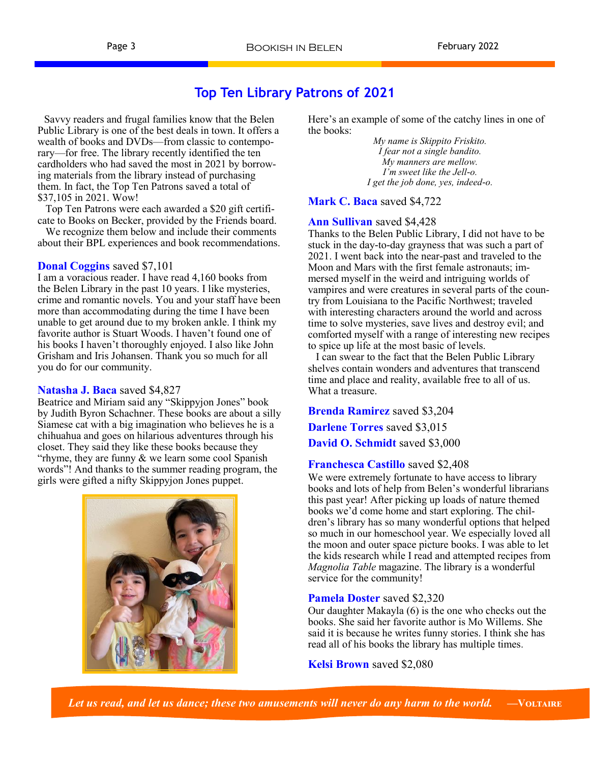# **Top Ten Library Patrons of 2021**

 Savvy readers and frugal families know that the Belen Public Library is one of the best deals in town. It offers a wealth of books and DVDs—from classic to contemporary—for free. The library recently identified the ten cardholders who had saved the most in 2021 by borrowing materials from the library instead of purchasing them. In fact, the Top Ten Patrons saved a total of \$37,105 in 2021. Wow!

 Top Ten Patrons were each awarded a \$20 gift certificate to Books on Becker, provided by the Friends board.

 We recognize them below and include their comments about their BPL experiences and book recommendations.

#### **Donal Coggins** saved \$7,101

I am a voracious reader. I have read 4,160 books from the Belen Library in the past 10 years. I like mysteries, crime and romantic novels. You and your staff have been more than accommodating during the time I have been unable to get around due to my broken ankle. I think my favorite author is Stuart Woods. I haven't found one of his books I haven't thoroughly enjoyed. I also like John Grisham and Iris Johansen. Thank you so much for all you do for our community.

#### **Natasha J. Baca** saved \$4,827

Beatrice and Miriam said any "Skippyjon Jones" book by Judith Byron Schachner. These books are about a silly Siamese cat with a big imagination who believes he is a chihuahua and goes on hilarious adventures through his closet. They said they like these books because they "rhyme, they are funny & we learn some cool Spanish words"! And thanks to the summer reading program, the girls were gifted a nifty Skippyjon Jones puppet.



Here's an example of some of the catchy lines in one of the books:

> *My name is Skippito Friskito. I fear not a single bandito. My manners are mellow. I'm sweet like the Jell-o. I get the job done, yes, indeed-o.*

**Mark C. Baca** saved \$4,722

#### **Ann Sullivan** saved \$4,428

Thanks to the Belen Public Library, I did not have to be stuck in the day-to-day grayness that was such a part of 2021. I went back into the near-past and traveled to the Moon and Mars with the first female astronauts; immersed myself in the weird and intriguing worlds of vampires and were creatures in several parts of the country from Louisiana to the Pacific Northwest; traveled with interesting characters around the world and across time to solve mysteries, save lives and destroy evil; and comforted myself with a range of interesting new recipes to spice up life at the most basic of levels.

 I can swear to the fact that the Belen Public Library shelves contain wonders and adventures that transcend time and place and reality, available free to all of us. What a treasure.

**Brenda Ramirez** saved \$3,204 **Darlene Torres** saved \$3,015 **David O. Schmidt** saved \$3,000

### **Franchesca Castillo** saved \$2,408

We were extremely fortunate to have access to library books and lots of help from Belen's wonderful librarians this past year! After picking up loads of nature themed books we'd come home and start exploring. The children's library has so many wonderful options that helped so much in our homeschool year. We especially loved all the moon and outer space picture books. I was able to let the kids research while I read and attempted recipes from *Magnolia Table* magazine. The library is a wonderful service for the community!

#### **Pamela Doster** saved \$2,320

Our daughter Makayla (6) is the one who checks out the books. She said her favorite author is Mo Willems. She said it is because he writes funny stories. I think she has read all of his books the library has multiple times.

**Kelsi Brown** saved \$2,080